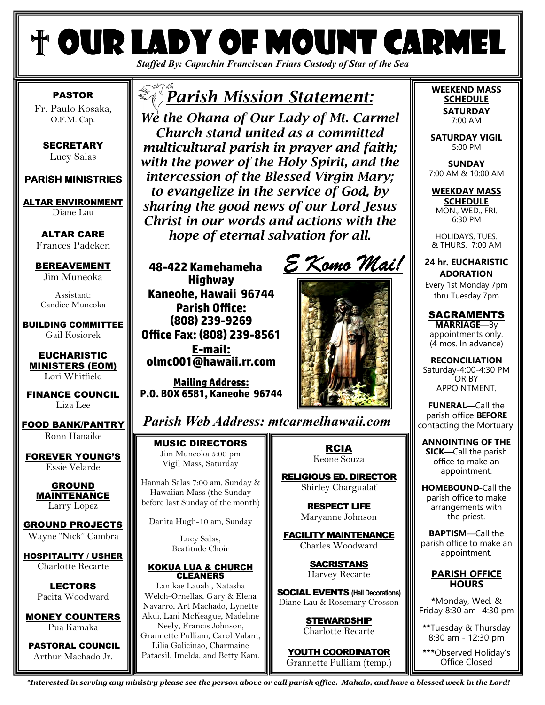# *Staffed By: Capuchin Franciscan Friars Custody of Star of the Sea* † Our Lady of Mount Carmel

PASTOR Fr. Paulo Kosaka, O.F.M. Cap.

**SECRETARY** Lucy Salas

#### **PARISH MINISTRIES PARISH MINISTRIES**

ALTAR ENVIRONMENT Diane Lau

> ALTAR CARE Frances Padeken

BEREAVEMENT Jim Muneoka

Assistant: Candice Muneoka

BUILDING COMMITTEE Gail Kosiorek

EUCHARISTIC MINISTERS (EOM) Lori Whitfield

FINANCE COUNCIL Liza Lee

FOOD BANK/PANTRY Ronn Hanaike

FOREVER YOUNG'S Essie Velarde

> GROUND MAINTENANCE Larry Lopez

GROUND PROJECTS Wayne "Nick" Cambra

HOSPITALITY / USHER

Charlotte Recarte

LECTORS Pacita Woodward

MONEY COUNTERS Pua Kamaka

PASTORAL COUNCIL Arthur Machado Jr.

# *Parish Mission Statement:*

*We the Ohana of Our Lady of Mt. Carmel Church stand united as a committed multicultural parish in prayer and faith; with the power of the Holy Spirit, and the intercession of the Blessed Virgin Mary; to evangelize in the service of God, by sharing the good news of our Lord Jesus Christ in our words and actions with the hope of eternal salvation for all.* 

**48-422 Kamehameha Highway Kaneohe, Hawaii 96744 Parish Office: (808) 239-9269 Oce Fax: (808) 239-8561 E-mail: olmc001@hawaii.rr.com** 

**Mailing Address: P.O. BOX 6581, Kaneohe 96744**

*E Komo Mai! E* 



*Parish Web Address: mtcarmelhawaii.com*

MUSIC DIRECTORS Jim Muneoka 5:00 pm Vigil Mass, Saturday

Hannah Salas 7:00 am, Sunday & Hawaiian Mass (the Sunday before last Sunday of the month)

Danita Hugh-10 am, Sunday

Lucy Salas, Beatitude Choir

#### KOKUA LUA & CHURCH CLEANERS

Lanikae Lauahi, Natasha Welch-Ornellas, Gary & Elena Navarro, Art Machado, Lynette Akui, Lani McKeague, Madeline Neely, Francis Johnson, Grannette Pulliam, Carol Valant, Lilia Galicinao, Charmaine Patacsil, Imelda, and Betty Kam.

RCIA Keone Souza

RELIGIOUS ED. DIRECTOR Shirley Chargualaf

> RESPECT LIFE Maryanne Johnson

FACILITY MAINTENANCE Charles Woodward

> **SACRISTANS** Harvey Recarte

SOCIAL EVENTS **(Hall Decorations)** Diane Lau & Rosemary Crosson

> STEWARDSHIP Charlotte Recarte

YOUTH COORDINATOR Grannette Pulliam (temp.)

#### **WEEKEND MASS SCHEDULE SATURDAY**  7:00 AM

**SATURDAY VIGIL**  5:00 PM

**SUNDAY** 7:00 AM & 10:00 AM

**WEEKDAY MASS SCHEDULE**  MON., WED., FRI. 6:30 PM

HOLIDAYS, TUES. & THURS. 7:00 AM

**24 hr. EUCHARISTIC ADORATION** 

Every 1st Monday 7pm thru Tuesday 7pm

SACRAMENTS **MARRIAGE**—By appointments only. (4 mos. In advance)

**RECONCILIATION**  Saturday-4:00-4:30 PM OR BY APPOINTMENT.

**FUNERAL—**Call the parish office **BEFORE** contacting the Mortuary.

**ANNOINTING OF THE SICK—**Call the parish office to make an appointment.

**HOMEBOUND-**Call the parish office to make arrangements with the priest.

**BAPTISM—**Call the parish office to make an appointment.

#### **PARISH OFFICE HOURS**

**\***Monday, Wed. & Friday 8:30 am- 4:30 pm

**\*\***Tuesday & Thursday 8:30 am - 12:30 pm

**\*\*\***Observed Holiday's Office Closed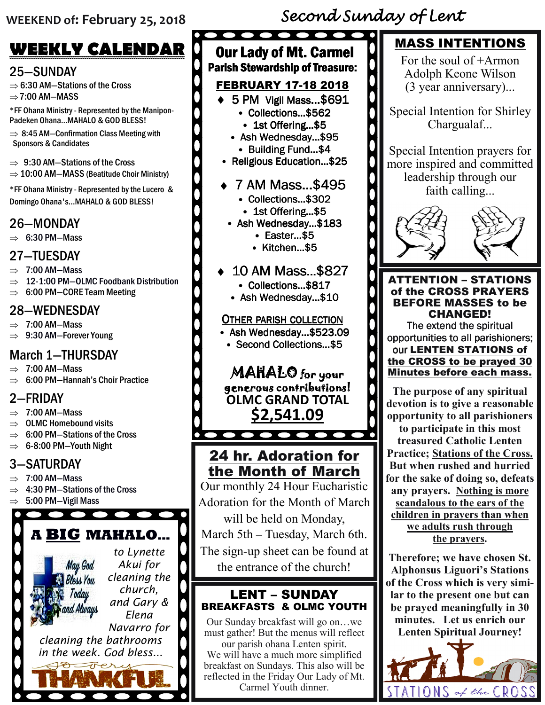# **WEEKLY CALENDAR**

## 25—SUNDAY

⇒ 6:30 AM—Stations of the Cross  $\Rightarrow$  7:00 AM-MASS

\*FF Ohana Ministry - Represented by the Manipon-Padeken Ohana...MAHALO & GOD BLESS!

 $\Rightarrow$  8:45 AM-Confirmation Class Meeting with Sponsors & Candidates

- $\Rightarrow$  9:30 AM-Stations of the Cross
- $\Rightarrow$  10:00 AM-MASS (Beatitude Choir Ministry)

\*FF Ohana Ministry - Represented by the Lucero & Domingo Ohana's...MAHALO & GOD BLESS!

## 26—MONDAY

 $\Rightarrow$  6:30 PM-Mass

## 27—TUESDAY

- $\Rightarrow$  7:00 AM-Mass
- $\Rightarrow$  12-1:00 PM-OLMC Foodbank Distribution
- $\Rightarrow$  6:00 PM-CORE Team Meeting

### 28—WEDNESDAY

- $\Rightarrow$  7:00 AM-Mass
- $\Rightarrow$  9:30 AM-Forever Young

# March 1—THURSDAY

- $\Rightarrow$  7:00 AM-Mass
- ⇒ 6:00 PM—Hannah's Choir Practice

### 2—FRIDAY

- $\Rightarrow$  7:00 AM-Mass
- $\Rightarrow$  OLMC Homebound visits
- $\Rightarrow$  6:00 PM-Stations of the Cross
- $\Rightarrow$  6-8:00 PM-Youth Night

# 3—SATURDAY

- $\Rightarrow$  7:00 AM-Mass
- ⇒ 4:30 PM—Stations of the Cross

 $\bullet\bullet\bullet\bullet$ 

 $\Rightarrow$  5:00 PM-Vigil Mass

# **A BIG MAHALO…**



 $\bullet\bullet\bullet\bullet\bullet$ 

# $\bullet\bullet\bullet\bullet\bullet\bullet\bullet\bullet$

## **Our Lady of Mt. Carmel** Parish Stewardship of Treasure:

# FEBRUARY 17-18 2018

- $\triangleleft$  5 PM Vigil Mass...\$691
	- Collections... \$562
	- 1st Offering...\$5
	- $\cdot$  Ash Wednesday...\$95 • Building Fund…\$4
- Religious Education... \$25
- ♦ 7 AM Mass…\$495 7 AM
	- Collections…\$302
	- 1st Offering...\$5
- Ash Wednesday...\$183
	- Easter…\$5
	- Kitchen…\$5

## 10 AM Mass...\$827

- Collections…\$817
- Ash Wednesday... $$10$

#### OTHER PARISH COLLECTION

- Ash Wednesday...\$523.09
- Second Collections...\$5

#### **MAHALO** for your generous contributions! generous contributions! **OLMC GRAND TOTAL**

**\$2,541.09**

# 24 hr. Adoration for the Month of March

 $\bullet$ 

Our monthly 24 Hour Eucharistic Adoration for the Month of March will be held on Monday, March 5th – Tuesday, March 6th. The sign-up sheet can be found at

the entrance of the church!

#### LENT – SUNDAY BREAKFASTS & OLMC YOUTH

Our Sunday breakfast will go on…we must gather! But the menus will reflect our parish ohana Lenten spirit.

We will have a much more simplified breakfast on Sundays. This also will be reflected in the Friday Our Lady of Mt. Carmel Youth dinner.

# MASS INTENTIONS

For the soul of  $+A$ rmon Adolph Keone Wilson (3 year anniversary)...

Special Intention for Shirley Chargualaf...

Special Intention prayers for more inspired and committed leadership through our faith calling...



ATTENTION – STATIONS of the CROSS PRAYERS BEFORE MASSES to be CHANGED!

The extend the spiritual opportunities to all parishioners; our LENTEN STATIONS of the CROSS to be prayed 30 Minutes before each mass.

**The purpose of any spiritual devotion is to give a reasonable opportunity to all parishioners to participate in this most treasured Catholic Lenten Practice; Stations of the Cross. But when rushed and hurried** 

**for the sake of doing so, defeats any prayers. Nothing is more scandalous to the ears of the children in prayers than when we adults rush through the prayers.** 

**Therefore; we have chosen St. Alphonsus Liguori's Stations of the Cross which is very similar to the present one but can be prayed meaningfully in 30 minutes. Let us enrich our Lenten Spiritual Journey!**